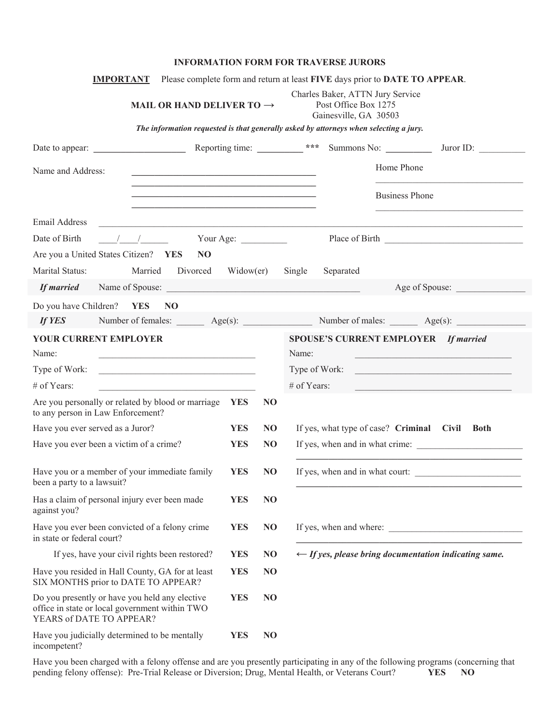## **INFORMATION FORM FOR TRAVERSE JURORS**

| <b>IMPORTANT</b>                                                                                                             |                                                                                                                                                                                                                                                                                                                                                                   |            |                | Please complete form and return at least FIVE days prior to DATE TO APPEAR.                                                                   |
|------------------------------------------------------------------------------------------------------------------------------|-------------------------------------------------------------------------------------------------------------------------------------------------------------------------------------------------------------------------------------------------------------------------------------------------------------------------------------------------------------------|------------|----------------|-----------------------------------------------------------------------------------------------------------------------------------------------|
|                                                                                                                              | MAIL OR HAND DELIVER TO $\rightarrow$                                                                                                                                                                                                                                                                                                                             |            |                | Charles Baker, ATTN Jury Service<br>Post Office Box 1275<br>Gainesville, GA 30503                                                             |
|                                                                                                                              |                                                                                                                                                                                                                                                                                                                                                                   |            |                | The information requested is that generally asked by attorneys when selecting a jury.                                                         |
| Date to appear:                                                                                                              |                                                                                                                                                                                                                                                                                                                                                                   |            |                | Reporting time: $\frac{1}{1}$ ***<br>Summons No:<br>Juror ID:                                                                                 |
| Name and Address:                                                                                                            |                                                                                                                                                                                                                                                                                                                                                                   |            |                | Home Phone                                                                                                                                    |
|                                                                                                                              | the control of the control of the control of the control of the control of the control of the control of the control of the control of the control of the control of the control of the control of the control of the control<br><u> 1989 - Johann John Stone, mensk politik fotograf (d. 1989)</u><br><u> 1989 - Johann Stoff, amerikansk politiker (* 1908)</u> |            |                | <b>Business Phone</b><br><u> 1989 - Johann John Stein, markin fizik ar yezhoù an distrik eo an distrik eo an distrik eo an distrik eo an </u> |
| Email Address                                                                                                                | <u> 1989 - Johann John Stone, mars et al. 1989 - Anna ann an t-Amhain ann an t-Amhain ann an t-Amhain ann an t-A</u>                                                                                                                                                                                                                                              |            |                |                                                                                                                                               |
| Date of Birth                                                                                                                | $\frac{1}{2}$ $\frac{1}{2}$ Your Age:                                                                                                                                                                                                                                                                                                                             |            |                |                                                                                                                                               |
| Are you a United States Citizen? YES                                                                                         | N <sub>O</sub>                                                                                                                                                                                                                                                                                                                                                    |            |                |                                                                                                                                               |
| Marital Status:                                                                                                              | Married<br>Divorced                                                                                                                                                                                                                                                                                                                                               | Widow(er)  |                | Separated<br>Single                                                                                                                           |
| <b>If married</b>                                                                                                            | Name of Spouse:                                                                                                                                                                                                                                                                                                                                                   |            |                | Age of Spouse:                                                                                                                                |
| Do you have Children?                                                                                                        | <b>YES</b><br>N <sub>O</sub>                                                                                                                                                                                                                                                                                                                                      |            |                |                                                                                                                                               |
| If YES                                                                                                                       |                                                                                                                                                                                                                                                                                                                                                                   |            |                | Number of females: <u>Age(s):</u> Age(s): Number of males: <u>Age(s):</u> Age(s):                                                             |
| YOUR CURRENT EMPLOYER                                                                                                        |                                                                                                                                                                                                                                                                                                                                                                   |            |                | <b>SPOUSE'S CURRENT EMPLOYER</b><br><b>If married</b>                                                                                         |
| Name:                                                                                                                        | <u> 1950 - Johann John Stone, martin de Britannich (b. 1950)</u>                                                                                                                                                                                                                                                                                                  |            |                | Name:<br><u> 1989 - Johann Barbara, martxa alemaniar a</u>                                                                                    |
|                                                                                                                              | Type of Work:                                                                                                                                                                                                                                                                                                                                                     |            |                | Type of Work:                                                                                                                                 |
| # of Years:                                                                                                                  |                                                                                                                                                                                                                                                                                                                                                                   |            |                | # of Years:<br><u> 1980 - Johann Stein, marwolaethau a bhann an t-Amhair an t-Amhair an t-Amhair an t-Amhair an t-Amhair an t-A</u>           |
| to any person in Law Enforcement?                                                                                            | Are you personally or related by blood or marriage                                                                                                                                                                                                                                                                                                                | <b>YES</b> | N <sub>O</sub> |                                                                                                                                               |
| Have you ever served as a Juror?                                                                                             |                                                                                                                                                                                                                                                                                                                                                                   | <b>YES</b> | N <sub>O</sub> | If yes, what type of case? Criminal Civil Both                                                                                                |
| Have you ever been a victim of a crime?                                                                                      |                                                                                                                                                                                                                                                                                                                                                                   | <b>YES</b> | N <sub>O</sub> | If yes, when and in what crime:                                                                                                               |
| Have you or a member of your immediate family<br>been a party to a lawsuit?                                                  |                                                                                                                                                                                                                                                                                                                                                                   | <b>YES</b> | N <sub>O</sub> | If yes, when and in what court:                                                                                                               |
| Has a claim of personal injury ever been made<br>against you?                                                                |                                                                                                                                                                                                                                                                                                                                                                   | <b>YES</b> | N <sub>O</sub> |                                                                                                                                               |
| Have you ever been convicted of a felony crime<br>in state or federal court?                                                 |                                                                                                                                                                                                                                                                                                                                                                   | <b>YES</b> | N <sub>O</sub> | If yes, when and where:                                                                                                                       |
| If yes, have your civil rights been restored?                                                                                |                                                                                                                                                                                                                                                                                                                                                                   |            | N <sub>O</sub> | $\leftarrow$ If yes, please bring documentation indicating same.                                                                              |
| Have you resided in Hall County, GA for at least<br>SIX MONTHS prior to DATE TO APPEAR?                                      |                                                                                                                                                                                                                                                                                                                                                                   | <b>YES</b> | N <sub>O</sub> |                                                                                                                                               |
| Do you presently or have you held any elective<br>office in state or local government within TWO<br>YEARS of DATE TO APPEAR? |                                                                                                                                                                                                                                                                                                                                                                   | <b>YES</b> | N <sub>O</sub> |                                                                                                                                               |
| Have you judicially determined to be mentally<br>incompetent?                                                                |                                                                                                                                                                                                                                                                                                                                                                   | <b>YES</b> | N <sub>O</sub> |                                                                                                                                               |

Have you been charged with a felony offense and are you presently participating in any of the following programs (concerning that pending felony offense): Pre-Trial Release or Diversion; Drug, Mental Health, or Veterans Court? **YES NO**